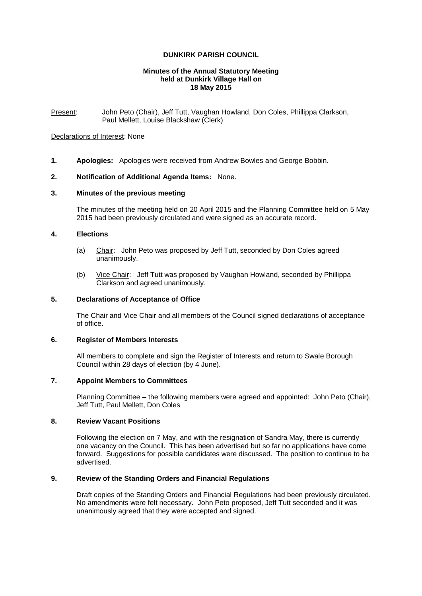## **DUNKIRK PARISH COUNCIL**

#### **Minutes of the Annual Statutory Meeting held at Dunkirk Village Hall on 18 May 2015**

Present: John Peto (Chair), Jeff Tutt, Vaughan Howland, Don Coles, Phillippa Clarkson, Paul Mellett, Louise Blackshaw (Clerk)

## Declarations of Interest: None

**1. Apologies:** Apologies were received from Andrew Bowles and George Bobbin.

## **2. Notification of Additional Agenda Items:** None.

#### **3. Minutes of the previous meeting**

The minutes of the meeting held on 20 April 2015 and the Planning Committee held on 5 May 2015 had been previously circulated and were signed as an accurate record.

## **4. Elections**

- (a) Chair: John Peto was proposed by Jeff Tutt, seconded by Don Coles agreed unanimously.
- (b) Vice Chair: Jeff Tutt was proposed by Vaughan Howland, seconded by Phillippa Clarkson and agreed unanimously.

## **5. Declarations of Acceptance of Office**

The Chair and Vice Chair and all members of the Council signed declarations of acceptance of office.

#### **6. Register of Members Interests**

All members to complete and sign the Register of Interests and return to Swale Borough Council within 28 days of election (by 4 June).

## **7. Appoint Members to Committees**

Planning Committee – the following members were agreed and appointed: John Peto (Chair), Jeff Tutt, Paul Mellett, Don Coles

### **8. Review Vacant Positions**

Following the election on 7 May, and with the resignation of Sandra May, there is currently one vacancy on the Council. This has been advertised but so far no applications have come forward. Suggestions for possible candidates were discussed. The position to continue to be advertised.

## **9. Review of the Standing Orders and Financial Regulations**

Draft copies of the Standing Orders and Financial Regulations had been previously circulated. No amendments were felt necessary. John Peto proposed, Jeff Tutt seconded and it was unanimously agreed that they were accepted and signed.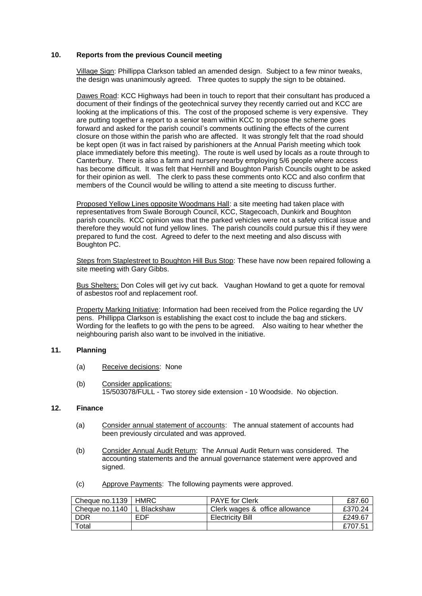# **10. Reports from the previous Council meeting**

Village Sign: Phillippa Clarkson tabled an amended design. Subject to a few minor tweaks, the design was unanimously agreed. Three quotes to supply the sign to be obtained.

Dawes Road: KCC Highways had been in touch to report that their consultant has produced a document of their findings of the geotechnical survey they recently carried out and KCC are looking at the implications of this. The cost of the proposed scheme is very expensive. They are putting together a report to a senior team within KCC to propose the scheme goes forward and asked for the parish council's comments outlining the effects of the current closure on those within the parish who are affected. It was strongly felt that the road should be kept open (it was in fact raised by parishioners at the Annual Parish meeting which took place immediately before this meeting). The route is well used by locals as a route through to Canterbury. There is also a farm and nursery nearby employing 5/6 people where access has become difficult. It was felt that Hernhill and Boughton Parish Councils ought to be asked for their opinion as well. The clerk to pass these comments onto KCC and also confirm that members of the Council would be willing to attend a site meeting to discuss further.

Proposed Yellow Lines opposite Woodmans Hall: a site meeting had taken place with representatives from Swale Borough Council, KCC, Stagecoach, Dunkirk and Boughton parish councils. KCC opinion was that the parked vehicles were not a safety critical issue and therefore they would not fund yellow lines. The parish councils could pursue this if they were prepared to fund the cost. Agreed to defer to the next meeting and also discuss with Boughton PC.

Steps from Staplestreet to Boughton Hill Bus Stop: These have now been repaired following a site meeting with Gary Gibbs.

Bus Shelters: Don Coles will get ivy cut back. Vaughan Howland to get a quote for removal of asbestos roof and replacement roof.

Property Marking Initiative: Information had been received from the Police regarding the UV pens. Phillippa Clarkson is establishing the exact cost to include the bag and stickers. Wording for the leaflets to go with the pens to be agreed. Also waiting to hear whether the neighbouring parish also want to be involved in the initiative.

## **11. Planning**

- (a) Receive decisions: None
- (b) Consider applications: 15/503078/FULL - Two storey side extension - 10 Woodside. No objection.

# **12. Finance**

- (a) Consider annual statement of accounts: The annual statement of accounts had been previously circulated and was approved.
- (b) Consider Annual Audit Return: The Annual Audit Return was considered. The accounting statements and the annual governance statement were approved and signed.
- (c) Approve Payments: The following payments were approved.

| Cheque no.1139   HMRC        |     | l PAYE for Clerk               | £87.60  |
|------------------------------|-----|--------------------------------|---------|
| Cheque no.1140   L Blackshaw |     | Clerk wages & office allowance | £370.24 |
| <b>DDR</b>                   | EDF | Electricity Bill               | £249.67 |
| $\tau$ otal                  |     |                                | £707.51 |